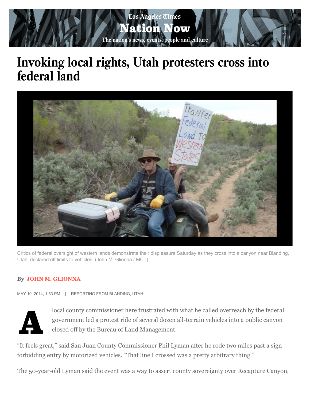

## **Invoking local rights, Utah protesters cross into federal land**



Critics of federal oversight of western lands demonstrate their displeasure Saturday as they cross into a canyon near Blanding, Utah, declared off limits to vehicles. (John M. Glionna / MCT)

## **By [JOHN M. GLIONNA](http://www.latimes.com/la-bio-john-glionna-staff.html)**

MAY 10, 2014, 1:53 PM | REPORTING FROM BLANDING, UTAH



local county commissioner here frustrated with what he called overreach by the federal government led a protest ride of several dozen all-terrain vehicles into a public canyon closed off by the Bureau of Land Management. government led a protest ride of several dozen all-terrain vehicles into a public canyon closed off by the Bureau of Land Management.

"It feels great," said San Juan County Commissioner Phil Lyman after he rode two miles past a sign forbidding entry by motorized vehicles. "That line I crossed was a pretty arbitrary thing."

The 50-year-old Lyman said the event was a way to assert county sovereignty over Recapture Canyon,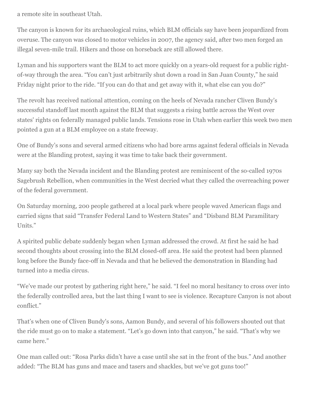a remote site in southeast Utah.

The canyon is known for its archaeological ruins, which BLM officials say have been jeopardized from overuse. The canyon was closed to motor vehicles in 2007, the agency said, after two men forged an illegal seven-mile trail. Hikers and those on horseback are still allowed there.

Lyman and his supporters want the BLM to act more quickly on a years-old request for a public rightof-way through the area. "You can't just arbitrarily shut down a road in San Juan County," he said Friday night prior to the ride. "If you can do that and get away with it, what else can you do?"

The revolt has received national attention, coming on the heels of Nevada rancher Cliven Bundy's successful standoff last month against the BLM that suggests a rising battle across the West over states' rights on federally managed public lands. Tensions rose in Utah when earlier this week two men pointed a gun at a BLM employee on a state freeway.

One of Bundy's sons and several armed citizens who had bore arms against federal officials in Nevada were at the Blanding protest, saying it was time to take back their government.

Many say both the Nevada incident and the Blanding protest are reminiscent of the so-called 1970s Sagebrush Rebellion, when communities in the West decried what they called the overreaching power of the federal government.

On Saturday morning, 200 people gathered at a local park where people waved American flags and carried signs that said "Transfer Federal Land to Western States" and "Disband BLM Paramilitary Units."

A spirited public debate suddenly began when Lyman addressed the crowd. At first he said he had second thoughts about crossing into the BLM closed-off area. He said the protest had been planned long before the Bundy face-off in Nevada and that he believed the demonstration in Blanding had turned into a media circus.

"We've made our protest by gathering right here," he said. "I feel no moral hesitancy to cross over into the federally controlled area, but the last thing I want to see is violence. Recapture Canyon is not about conflict."

That's when one of Cliven Bundy's sons, Aamon Bundy, and several of his followers shouted out that the ride must go on to make a statement. "Let's go down into that canyon," he said. "That's why we came here."

One man called out: "Rosa Parks didn't have a case until she sat in the front of the bus." And another added: "The BLM has guns and mace and tasers and shackles, but we've got guns too!"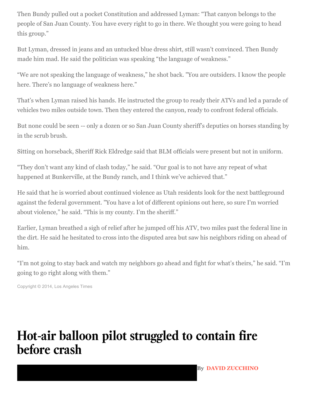Then Bundy pulled out a pocket Constitution and addressed Lyman: "That canyon belongs to the people of San Juan County. You have every right to go in there. We thought you were going to head this group."

But Lyman, dressed in jeans and an untucked blue dress shirt, still wasn't convinced. Then Bundy made him mad. He said the politician was speaking "the language of weakness."

"We are not speaking the language of weakness," he shot back. "You are outsiders. I know the people here. There's no language of weakness here."

That's when Lyman raised his hands. He instructed the group to ready their ATVs and led a parade of vehicles two miles outside town. Then they entered the canyon, ready to confront federal officials.

But none could be seen -- only a dozen or so San Juan County sheriff's deputies on horses standing by in the scrub brush.

Sitting on horseback, Sheriff Rick Eldredge said that BLM officials were present but not in uniform.

"They don't want any kind of clash today," he said. "Our goal is to not have any repeat of what happened at Bunkerville, at the Bundy ranch, and I think we've achieved that."

He said that he is worried about continued violence as Utah residents look for the next battleground against the federal government. "You have a lot of different opinions out here, so sure I'm worried about violence," he said. "This is my county. I'm the sheriff."

Earlier, Lyman breathed a sigh of relief after he jumped off his ATV, two miles past the federal line in the dirt. He said he hesitated to cross into the disputed area but saw his neighbors riding on ahead of him.

"I'm not going to stay back and watch my neighbors go ahead and fight for what's theirs," he said. "I'm going to go right along with them."

Copyright © 2014, [Los Angeles Times](http://www.latimes.com/)

## **Hot-air balloon pilot struggled to contain fire before crash**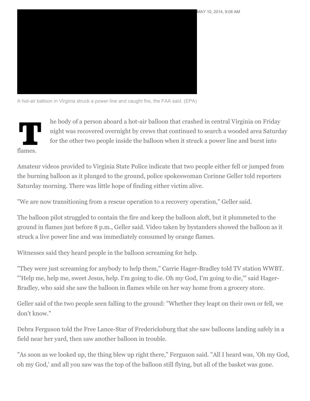

A hot-air balloon in Virginia struck a power line and caught fire, the FAA said. (EPA)

The body of a person aboard a hot-air balloon that crashed in central Virginia on Friday<br>night was recovered overnight by crews that continued to search a wooded area Saturd<br>for the other two people inside the balloon when night was recovered overnight by crews that continued to search a wooded area Saturday for the other two people inside the balloon when it struck a power line and burst into flames.

Amateur videos provided to Virginia State Police indicate that two people either fell or jumped from the burning balloon as it plunged to the ground, police spokeswoman Corinne Geller told reporters Saturday morning. There was little hope of finding either victim alive.

"We are now transitioning from a rescue operation to a recovery operation," Geller said.

The balloon pilot struggled to contain the fire and keep the balloon aloft, but it plummeted to the ground in flames just before 8 p.m., Geller said. Video taken by bystanders showed the balloon as it struck a live power line and was immediately consumed by orange flames.

Witnesses said they heard people in the balloon screaming for help.

"They were just screaming for anybody to help them," Carrie Hager-Bradley told TV station WWBT. "'Help me, help me, sweet Jesus, help. I'm going to die. Oh my God, I'm going to die,'" said Hager-Bradley, who said she saw the balloon in flames while on her way home from a grocery store.

Geller said of the two people seen falling to the ground: "Whether they leapt on their own or fell, we don't know."

Debra Ferguson told the Free Lance-Star of Fredericksburg that she saw balloons landing safely in a field near her yard, then saw another balloon in trouble.

"As soon as we looked up, the thing blew up right there," Ferguson said. "All I heard was, 'Oh my God, oh my God,' and all you saw was the top of the balloon still flying, but all of the basket was gone.